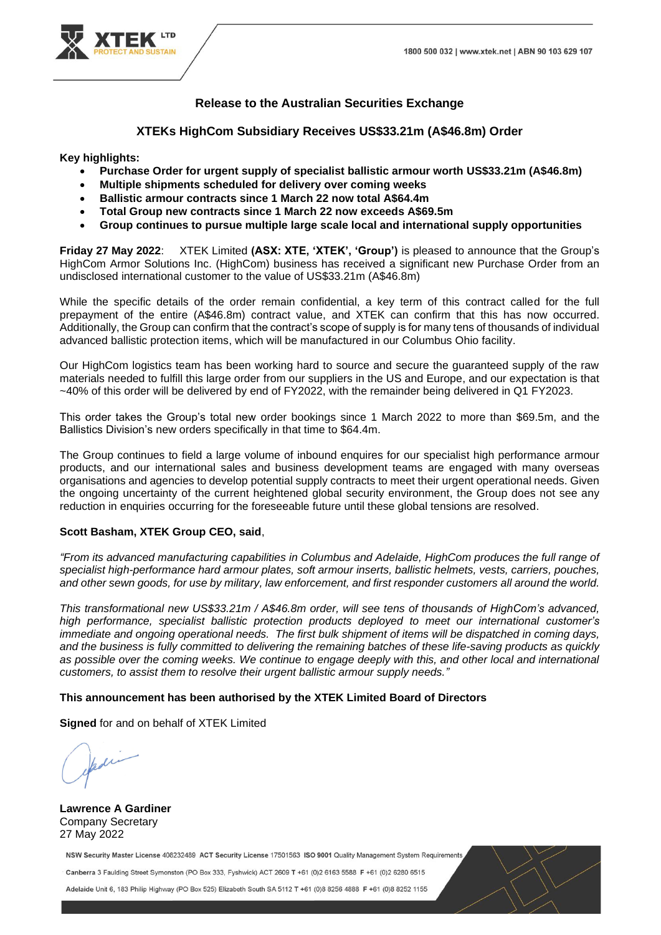

## **Release to the Australian Securities Exchange**

**XTEKs HighCom Subsidiary Receives US\$33.21m (A\$46.8m) Order** 

**Key highlights:**

- **Purchase Order for urgent supply of specialist ballistic armour worth US\$33.21m (A\$46.8m)**
- **Multiple shipments scheduled for delivery over coming weeks**
- **Ballistic armour contracts since 1 March 22 now total A\$64.4m**
- **Total Group new contracts since 1 March 22 now exceeds A\$69.5m**
- **Group continues to pursue multiple large scale local and international supply opportunities**

**Friday 27 May 2022**: XTEK Limited **(ASX: XTE, 'XTEK', 'Group')** is pleased to announce that the Group's HighCom Armor Solutions Inc. (HighCom) business has received a significant new Purchase Order from an undisclosed international customer to the value of US\$33.21m (A\$46.8m)

While the specific details of the order remain confidential, a key term of this contract called for the full prepayment of the entire (A\$46.8m) contract value, and XTEK can confirm that this has now occurred. Additionally, the Group can confirm that the contract's scope of supply is for many tens of thousands of individual advanced ballistic protection items, which will be manufactured in our Columbus Ohio facility.

Our HighCom logistics team has been working hard to source and secure the guaranteed supply of the raw materials needed to fulfill this large order from our suppliers in the US and Europe, and our expectation is that ~40% of this order will be delivered by end of FY2022, with the remainder being delivered in Q1 FY2023.

This order takes the Group's total new order bookings since 1 March 2022 to more than \$69.5m, and the Ballistics Division's new orders specifically in that time to \$64.4m.

The Group continues to field a large volume of inbound enguires for our specialist high performance armour products, and our international sales and business development teams are engaged with many overseas organisations and agencies to develop potential supply contracts to meet their urgent operational needs. Given the ongoing uncertainty of the current heightened global security environment, the Group does not see any reduction in enquiries occurring for the foreseeable future until these global tensions are resolved.

## **Scott Basham, XTEK Group CEO, said**,

*"From its advanced manufacturing capabilities in Columbus and Adelaide, HighCom produces the full range of specialist high-performance hard armour plates, soft armour inserts, ballistic helmets, vests, carriers, pouches, and other sewn goods, for use by military, law enforcement, and first responder customers all around the world.*

*This transformational new US\$33.21m / A\$46.8m order, will see tens of thousands of HighCom's advanced, high performance, specialist ballistic protection products deployed to meet our international customer's immediate and ongoing operational needs. The first bulk shipment of items will be dispatched in coming days, and the business is fully committed to delivering the remaining batches of these life-saving products as quickly as possible over the coming weeks. We continue to engage deeply with this, and other local and international customers, to assist them to resolve their urgent ballistic armour supply needs."*

## **This announcement has been authorised by the XTEK Limited Board of Directors**

**Signed** for and on behalf of XTEK Limited

**Lawrence A Gardiner**  Company Secretary 27 May 2022

NSW Security Master License 408232489 ACT Security License 17501563 ISO 9001 Quality Management System Requirements

Canberra 3 Faulding Street Symonston (PO Box 333, Fyshwick) ACT 2609 T +61 (0)2 6163 5588 F +61 (0)2 6280 6515

Adelaide Unit 6, 183 Philip Highway (PO Box 525) Elizabeth South SA 5112 T +61 (0)8 8256 4888 F +61 (0)8 8252 1155